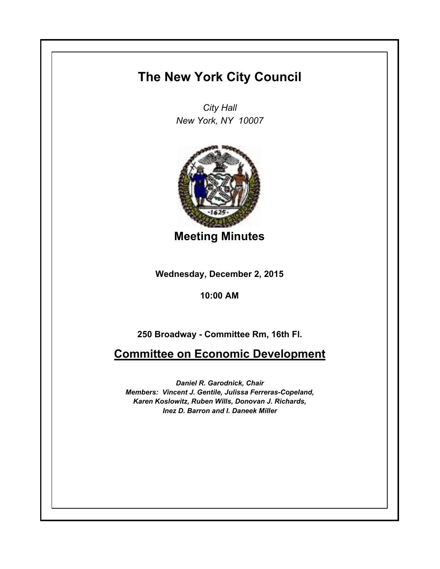## **The New York City Council**

*City Hall New York, NY 10007*



**Meeting Minutes**

**Wednesday, December 2, 2015**

**10:00 AM**

**250 Broadway - Committee Rm, 16th Fl.**

**Committee on Economic Development**

*Daniel R. Garodnick, Chair Members: Vincent J. Gentile, Julissa Ferreras-Copeland, Karen Koslowitz, Ruben Wills, Donovan J. Richards, Inez D. Barron and I. Daneek Miller*